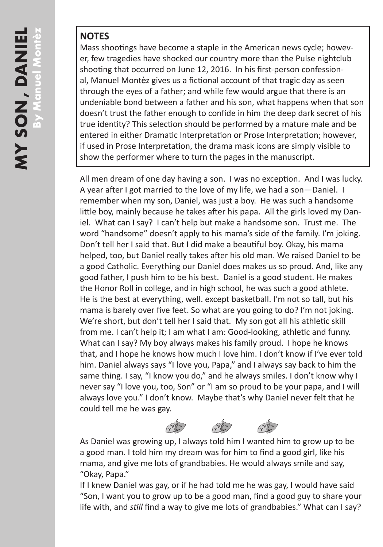## **NOTES**

Mass shootings have become a staple in the American news cycle; however, few tragedies have shocked our country more than the Pulse nightclub shooting that occurred on June 12, 2016. In his first-person confessional, Manuel Montèz gives us a fictional account of that tragic day as seen through the eyes of a father; and while few would argue that there is an undeniable bond between a father and his son, what happens when that son doesn't trust the father enough to confide in him the deep dark secret of his true identity? This selection should be performed by a mature male and be entered in either Dramatic Interpretation or Prose Interpretation; however, if used in Prose Interpretation, the drama mask icons are simply visible to show the performer where to turn the pages in the manuscript.

All men dream of one day having a son. I was no exception. And I was lucky. A year after I got married to the love of my life, we had a son—Daniel. I remember when my son, Daniel, was just a boy. He was such a handsome little boy, mainly because he takes after his papa. All the girls loved my Daniel. What can I say? I can't help but make a handsome son. Trust me. The word "handsome" doesn't apply to his mama's side of the family. I'm joking. Don't tell her I said that. But I did make a beautiful boy. Okay, his mama helped, too, but Daniel really takes after his old man. We raised Daniel to be a good Catholic. Everything our Daniel does makes us so proud. And, like any good father, I push him to be his best. Daniel is a good student. He makes the Honor Roll in college, and in high school, he was such a good athlete. He is the best at everything, well. except basketball. I'm not so tall, but his mama is barely over five feet. So what are you going to do? I'm not joking. We're short, but don't tell her I said that. My son got all his athletic skill from me. I can't help it; I am what I am: Good-looking, athletic and funny. What can I say? My boy always makes his family proud. I hope he knows that, and I hope he knows how much I love him. I don't know if I've ever told him. Daniel always says "I love you, Papa," and I always say back to him the same thing. I say, "I know you do," and he always smiles. I don't know why I never say "I love you, too, Son" or "I am so proud to be your papa, and I will always love you." I don't know. Maybe that's why Daniel never felt that he could tell me he was gay.

As Daniel was growing up, I always told him I wanted him to grow up to be a good man. I told him my dream was for him to find a good girl, like his mama, and give me lots of grandbabies. He would always smile and say, "Okay, Papa."

 $A^*$ 

If I knew Daniel was gay, or if he had told me he was gay, I would have said "Son, I want you to grow up to be a good man, find a good guy to share your life with, and *still* find a way to give me lots of grandbabies." What can I say?